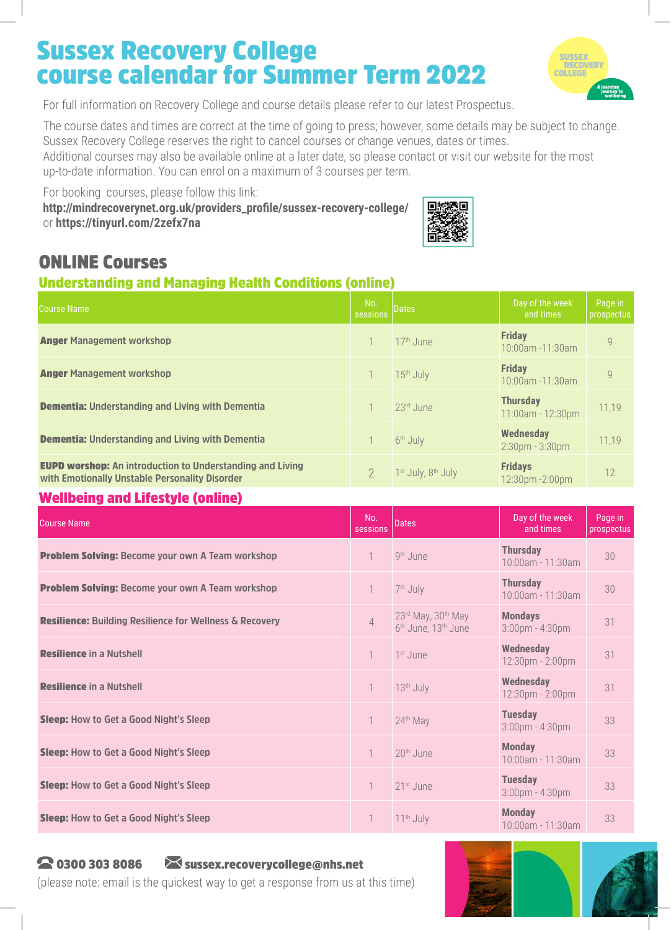# Sussex Recovery College course calendar for Summer Term 2022



For full information on Recovery College and course details please refer to our latest Prospectus.

The course dates and times are correct at the time of going to press; however, some details may be subject to change. Sussex Recovery College reserves the right to cancel courses or change venues, dates or times.

Additional courses may also be available online at a later date, so please contact or visit our website for the most up-to-date information. You can enrol on a maximum of 3 courses per term.

For booking courses, please follow this link: **http://mindrecoverynet.org.uk/providers\_profile/sussex-recovery-college/** or **https://tinyurl.com/2zefx7na**



## ONLINE Courses

#### Understanding and Managing Health Conditions (online)

| <b>Course Name</b>                                                                                                 | No.<br>sessions | <b>Dates</b>                               | Day of the week<br>and times              | Page in<br>prospectus |
|--------------------------------------------------------------------------------------------------------------------|-----------------|--------------------------------------------|-------------------------------------------|-----------------------|
| <b>Anger Management workshop</b>                                                                                   |                 | 17 <sup>th</sup> June                      | <b>Friday</b><br>$10:00$ am -11:30am      | $\mathsf{Q}$          |
| <b>Anger Management workshop</b>                                                                                   |                 | 15 <sup>th</sup> July                      | <b>Friday</b><br>10:00am -11:30am         | $\mathcal{Q}$         |
| <b>Dementia: Understanding and Living with Dementia</b>                                                            |                 | 23rd June                                  | <b>Thursday</b><br>11:00am - 12:30pm      | 11,19                 |
| <b>Dementia: Understanding and Living with Dementia</b>                                                            |                 | 6 <sup>th</sup> July                       | <b>Wednesday</b><br>$2:30$ pm - $3:30$ pm | 11,19                 |
| <b>EUPD worshop:</b> An introduction to Understanding and Living<br>with Emotionally Unstable Personality Disorder |                 | 1 <sup>st</sup> July, 8 <sup>th</sup> July | <b>Fridays</b><br>12:30pm - 2:00pm        | 12                    |

#### Wellbeing and Lifestyle (online)

| <b>Course Name</b>                                             | No.<br>sessions | <b>Dates</b>                                                      | Day of the week<br>and times            | Page in<br>prospectus |
|----------------------------------------------------------------|-----------------|-------------------------------------------------------------------|-----------------------------------------|-----------------------|
| <b>Problem Solving: Become your own A Team workshop</b>        |                 | 9 <sup>th</sup> June                                              | <b>Thursday</b><br>10:00am - 11:30am    | 30                    |
| <b>Problem Solving: Become your own A Team workshop</b>        |                 | 7 <sup>th</sup> July                                              | <b>Thursday</b><br>10:00am - 11:30am    | 30                    |
| <b>Resilience:</b> Building Resilience for Wellness & Recovery | $\overline{4}$  | 23rd May, 30th May<br>6 <sup>th</sup> June, 13 <sup>th</sup> June | <b>Mondays</b><br>$3:00$ pm - $4:30$ pm | 31                    |
| <b>Resilience in a Nutshell</b>                                |                 | 1 <sup>st</sup> June                                              | <b>Wednesday</b><br>12:30pm - 2:00pm    | 31                    |
| <b>Resilience in a Nutshell</b>                                | 1               | 13 <sup>th</sup> July                                             | <b>Wednesday</b><br>12:30pm - 2:00pm    | 31                    |
| <b>Sleep:</b> How to Get a Good Night's Sleep                  |                 | 24th May                                                          | <b>Tuesday</b><br>$3:00$ pm - $4:30$ pm | 33                    |
| <b>Sleep:</b> How to Get a Good Night's Sleep                  | 1               | 20 <sup>th</sup> June                                             | <b>Monday</b><br>$10:00$ am - 11:30am   | 33                    |
| <b>Sleep:</b> How to Get a Good Night's Sleep                  |                 | 21 <sup>st</sup> , June                                           | <b>Tuesday</b><br>$3:00$ pm - $4:30$ pm | 33                    |
| <b>Sleep:</b> How to Get a Good Night's Sleep                  |                 | $11th$ July                                                       | <b>Monday</b><br>10:00am - 11:30am      | 33                    |

#### 2 0300 303 8086 Sussex.recoverycollege@nhs.net

(please note: email is the quickest way to get a response from us at this time)

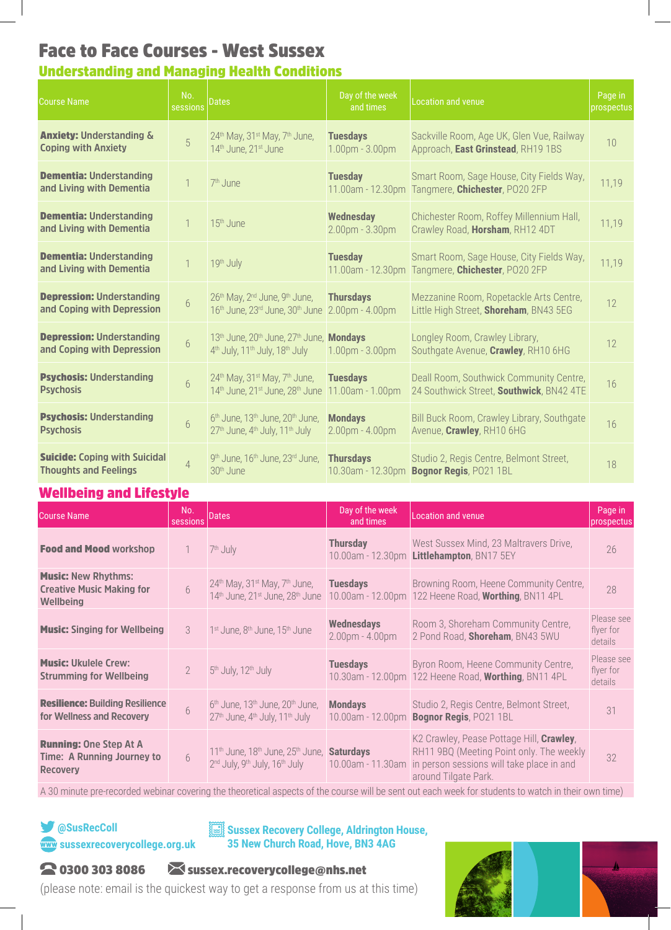## Face to Face Courses - West Sussex

### Understanding and Managing Health Conditions

| <b>Course Name</b>                                                   | No.<br>sessions | Dates                                                                                                                                    | Day of the week<br>and times              | <b>Location and venue</b>                                                                    | Page in<br>prospectus |
|----------------------------------------------------------------------|-----------------|------------------------------------------------------------------------------------------------------------------------------------------|-------------------------------------------|----------------------------------------------------------------------------------------------|-----------------------|
| <b>Anxiety: Understanding &amp;</b><br><b>Coping with Anxiety</b>    | 5               | 24 <sup>th</sup> May, 31 <sup>st</sup> May, 7 <sup>th</sup> June,<br>14th June, 21st June                                                | <b>Tuesdays</b><br>1.00pm - 3.00pm        | Sackville Room, Age UK, Glen Vue, Railway<br>Approach, East Grinstead, RH19 1BS              | 10                    |
| <b>Dementia: Understanding</b><br>and Living with Dementia           |                 | 7 <sup>th</sup> June                                                                                                                     | <b>Tuesday</b>                            | Smart Room, Sage House, City Fields Way,<br>11.00am - 12.30pm Tangmere, Chichester, PO20 2FP | 11,19                 |
| <b>Dementia: Understanding</b><br>and Living with Dementia           |                 | 15 <sup>th</sup> June                                                                                                                    | <b>Wednesday</b><br>$2.00$ pm - $3.30$ pm | Chichester Room, Roffey Millennium Hall,<br>Crawley Road, Horsham, RH12 4DT                  | 11,19                 |
| <b>Dementia: Understanding</b><br>and Living with Dementia           |                 | 19th July                                                                                                                                | <b>Tuesday</b>                            | Smart Room, Sage House, City Fields Way,<br>11.00am - 12.30pm Tangmere, Chichester, PO20 2FP | 11,19                 |
| <b>Depression: Understanding</b><br>and Coping with Depression       | $\overline{6}$  | 26 <sup>th</sup> May, 2 <sup>nd</sup> June, 9 <sup>th</sup> June,<br>16 <sup>th</sup> June, 23 <sup>rd</sup> June, 30 <sup>th</sup> June | <b>Thursdays</b><br>2.00pm - 4.00pm       | Mezzanine Room, Ropetackle Arts Centre,<br>Little High Street, Shoreham, BN43 5EG            | 12                    |
| <b>Depression: Understanding</b><br>and Coping with Depression       | $6\overline{6}$ | 13th June, 20th June, 27th June, Mondays<br>4 <sup>th</sup> July, 11 <sup>th</sup> July, 18 <sup>th</sup> July                           | $1.00pm - 3.00pm$                         | Longley Room, Crawley Library,<br>Southgate Avenue, Crawley, RH10 6HG                        | 12                    |
| <b>Psychosis: Understanding</b><br><b>Psychosis</b>                  | $6\phantom{.}6$ | 24 <sup>th</sup> May, 31 <sup>st</sup> May, 7 <sup>th</sup> June,<br>14th June, 21st June, 28th June                                     | <b>Tuesdays</b><br>11.00am - 1.00pm       | Deall Room, Southwick Community Centre,<br>24 Southwick Street, Southwick, BN42 4TE          | 16                    |
| <b>Psychosis: Understanding</b><br><b>Psychosis</b>                  | $6\phantom{.}6$ | $6th$ June, 13 <sup>th</sup> June, 20 <sup>th</sup> June,<br>27 <sup>th</sup> June, 4 <sup>th</sup> July, 11 <sup>th</sup> July          | <b>Mondays</b><br>2.00pm - 4.00pm         | Bill Buck Room, Crawley Library, Southgate<br>Avenue, Crawley, RH10 6HG                      | 16                    |
| <b>Suicide: Coping with Suicidal</b><br><b>Thoughts and Feelings</b> | 4               | 9 <sup>th</sup> June, 16 <sup>th</sup> June, 23 <sup>rd</sup> June,<br>30 <sup>th</sup> June                                             | <b>Thursdays</b><br>10.30am - 12.30pm     | Studio 2, Regis Centre, Belmont Street,<br><b>Bognor Regis, PO21 1BL</b>                     | 18                    |

#### Wellbeing and Lifestyle

| <b>Course Name</b>                                                                 | No.<br>sessions | Dates                                                                                                                                            | Day of the week<br>and times           | <b>Location and venue</b>                                                                                                                                 | Page in<br>prospectus              |
|------------------------------------------------------------------------------------|-----------------|--------------------------------------------------------------------------------------------------------------------------------------------------|----------------------------------------|-----------------------------------------------------------------------------------------------------------------------------------------------------------|------------------------------------|
| <b>Food and Mood workshop</b>                                                      |                 | 7 <sup>th</sup> July                                                                                                                             | <b>Thursday</b>                        | West Sussex Mind, 23 Maltravers Drive,<br>10.00am - 12.30pm Littlehampton, BN17 5EY                                                                       | 26                                 |
| <b>Music: New Rhythms:</b><br><b>Creative Music Making for</b><br><b>Wellbeing</b> | 6               | $24th$ May, 31 <sup>st</sup> May, 7 <sup>th</sup> June,<br>14th June, 21st June, 28th June                                                       | <b>Tuesdays</b>                        | Browning Room, Heene Community Centre,<br>10.00am - 12.00pm 122 Heene Road, Worthing, BN11 4PL                                                            | 28                                 |
| <b>Music: Singing for Wellbeing</b>                                                | 3 <sup>°</sup>  | 1 <sup>st</sup> June, 8 <sup>th</sup> June, 15 <sup>th</sup> June                                                                                | <b>Wednesdays</b><br>$2.00pm - 4.00pm$ | Room 3, Shoreham Community Centre,<br>2 Pond Road, Shoreham, BN43 5WU                                                                                     | Please see<br>flyer for<br>details |
| <b>Music: Ukulele Crew:</b><br><b>Strumming for Wellbeing</b>                      | $\overline{2}$  | 5 <sup>th</sup> July, 12 <sup>th</sup> July                                                                                                      | <b>Tuesdays</b>                        | Byron Room, Heene Community Centre,<br>10.30am - 12.00pm 122 Heene Road, Worthing, BN11 4PL                                                               | Please see<br>flyer for<br>details |
| <b>Resilience: Building Resilience</b><br>for Wellness and Recovery                | $6\,$           | $6th$ June, 13 <sup>th</sup> June, 20 <sup>th</sup> June,<br>$27th$ June, 4 <sup>th</sup> July, 11 <sup>th</sup> July                            | <b>Mondays</b><br>10.00am - 12.00pm    | Studio 2, Regis Centre, Belmont Street,<br><b>Bognor Regis, PO21 1BL</b>                                                                                  | 31                                 |
| <b>Running: One Step At A</b><br>Time: A Running Journey to<br><b>Recovery</b>     | 6               | 11 <sup>th</sup> June, 18 <sup>th</sup> June, 25 <sup>th</sup> June, <b>Saturdays</b><br>$2nd$ July, 9 <sup>th</sup> July, 16 <sup>th</sup> July | 10.00am - 11.30am                      | K2 Crawley, Pease Pottage Hill, Crawley,<br>RH11 9BQ (Meeting Point only. The weekly<br>in person sessions will take place in and<br>around Tilgate Park. | 32                                 |

A 30 minute pre-recorded webinar covering the theoretical aspects of the course will be sent out each week for students to watch in their own time)

 **@SusRecColl www sussexrecoverycollege.org.uk** 

#### **has been part-funded by Sussex Recovery College Sussex Recovery College, Aldrington House, Aldrington House 35 New Church Road, Hove, BN3 4AG**



#### **asubsex.pdf** 0300 303 8086 Sussex.recoverycollege@nhs.net **reco**

**Sussex Recovery College** Also knote: email is the quickest way to get a response from us at this time) (please note: email is the quickest way to get a response from us at this time)